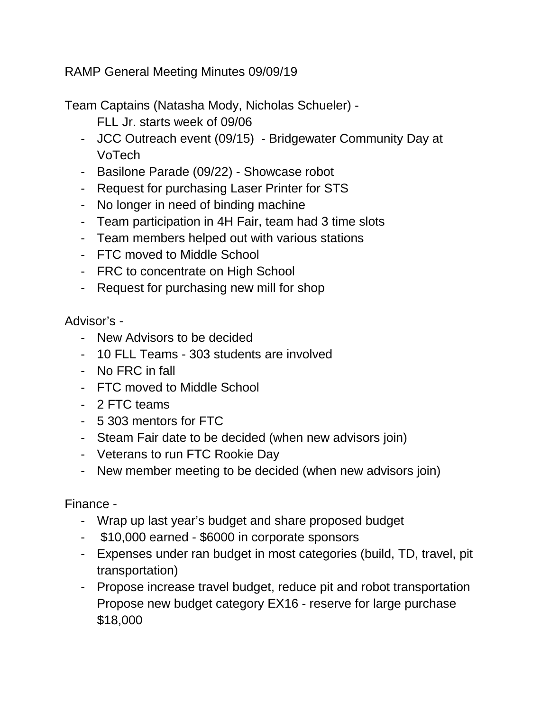RAMP General Meeting Minutes 09/09/19

Team Captains (Natasha Mody, Nicholas Schueler) -

- FLL Jr. starts week of 09/06
- JCC Outreach event (09/15) Bridgewater Community Day at VoTech
- Basilone Parade (09/22) Showcase robot
- Request for purchasing Laser Printer for STS
- No longer in need of binding machine
- Team participation in 4H Fair, team had 3 time slots
- Team members helped out with various stations
- FTC moved to Middle School
- FRC to concentrate on High School
- Request for purchasing new mill for shop

Advisor's -

- New Advisors to be decided
- 10 FLL Teams 303 students are involved
- No FRC in fall
- FTC moved to Middle School
- 2 FTC teams
- 5 303 mentors for FTC
- Steam Fair date to be decided (when new advisors join)
- Veterans to run FTC Rookie Day
- New member meeting to be decided (when new advisors join)

Finance -

- Wrap up last year's budget and share proposed budget
- \$10,000 earned \$6000 in corporate sponsors
- Expenses under ran budget in most categories (build, TD, travel, pit transportation)
- Propose increase travel budget, reduce pit and robot transportation Propose new budget category EX16 - reserve for large purchase \$18,000